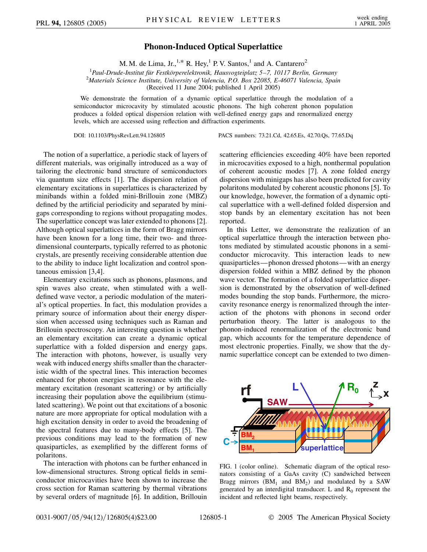## **Phonon-Induced Optical Superlattice**

M. M. de Lima, Jr.,<sup>1,\*</sup> R. Hey,<sup>1</sup> P. V. Santos,<sup>1</sup> and A. Cantarero<sup>2</sup>

<sup>1</sup> Paul-Drude-Institut für Festkörperelektronik, Hausvogteiplatz 5–7, 10117 Berlin, Germany<br><sup>2</sup>Materials Science Institute, University of Valencia, P.O. Box 22085, E.46071 Valencia, Spai *Materials Science Institute, University of Valencia, P.O. Box 22085, E-46071 Valencia, Spain*

(Received 11 June 2004; published 1 April 2005)

We demonstrate the formation of a dynamic optical superlattice through the modulation of a semiconductor microcavity by stimulated acoustic phonons. The high coherent phonon population produces a folded optical dispersion relation with well-defined energy gaps and renormalized energy levels, which are accessed using reflection and diffraction experiments.

DOI: 10.1103/PhysRevLett.94.126805 PACS numbers: 73.21.Cd, 42.65.Es, 42.70.Qs, 77.65.Dq

The notion of a superlattice, a periodic stack of layers of different materials, was originally introduced as a way of tailoring the electronic band structure of semiconductors via quantum size effects [1]. The dispersion relation of elementary excitations in superlattices is characterized by minibands within a folded mini-Brillouin zone (MBZ) defined by the artificial periodicity and separated by minigaps corresponding to regions without propagating modes. The superlattice concept was later extended to phonons [2]. Although optical superlattices in the form of Bragg mirrors have been known for a long time, their two- and threedimensional counterparts, typically referred to as photonic crystals, are presently receiving considerable attention due to the ability to induce light localization and control spontaneous emission [3,4].

Elementary excitations such as phonons, plasmons, and spin waves also create, when stimulated with a welldefined wave vector, a periodic modulation of the material's optical properties. In fact, this modulation provides a primary source of information about their energy dispersion when accessed using techniques such as Raman and Brillouin spectroscopy. An interesting question is whether an elementary excitation can create a dynamic optical superlattice with a folded dispersion and energy gaps. The interaction with photons, however, is usually very weak with induced energy shifts smaller than the characteristic width of the spectral lines. This interaction becomes enhanced for photon energies in resonance with the elementary excitation (resonant scattering) or by artificially increasing their population above the equilibrium (stimulated scattering). We point out that excitations of a bosonic nature are more appropriate for optical modulation with a high excitation density in order to avoid the broadening of the spectral features due to many-body effects [5]. The previous conditions may lead to the formation of new quasiparticles, as exemplified by the different forms of polaritons.

The interaction with photons can be further enhanced in low-dimensional structures. Strong optical fields in semiconductor microcavities have been shown to increase the cross section for Raman scattering by thermal vibrations by several orders of magnitude [6]. In addition, Brillouin scattering efficiencies exceeding 40% have been reported in microcavities exposed to a high, nonthermal population of coherent acoustic modes [7]. A zone folded energy dispersion with minigaps has also been predicted for cavity polaritons modulated by coherent acoustic phonons [5]. To our knowledge, however, the formation of a dynamic optical superlattice with a well-defined folded dispersion and stop bands by an elementary excitation has not been reported.

In this Letter, we demonstrate the realization of an optical superlattice through the interaction between photons mediated by stimulated acoustic phonons in a semiconductor microcavity. This interaction leads to new quasiparticles—phonon dressed photons—with an energy dispersion folded within a MBZ defined by the phonon wave vector. The formation of a folded superlattice dispersion is demonstrated by the observation of well-defined modes bounding the stop bands. Furthermore, the microcavity resonance energy is renormalized through the interaction of the photons with phonons in second order perturbation theory. The latter is analogous to the phonon-induced renormalization of the electronic band gap, which accounts for the temperature dependence of most electronic properties. Finally, we show that the dynamic superlattice concept can be extended to two dimen-



FIG. 1 (color online). Schematic diagram of the optical resonators consisting of a GaAs cavity (C) sandwiched between Bragg mirrors  $(BM_1$  and  $BM_2$ ) and modulated by a SAW generated by an interdigital transducer. L and  $R_0$  represent the incident and reflected light beams, respectively.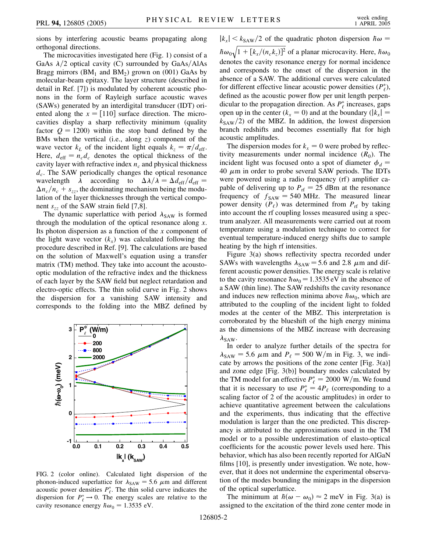sions by interfering acoustic beams propagating along orthogonal directions.

The microcavities investigated here (Fig. 1) consist of a GaAs  $\lambda/2$  optical cavity (C) surrounded by GaAs/AlAs Bragg mirrors  $(BM_1$  and  $BM_2$ ) grown on (001) GaAs by molecular-beam epitaxy. The layer structure (described in detail in Ref. [7]) is modulated by coherent acoustic phonons in the form of Rayleigh surface acoustic waves (SAWs) generated by an interdigital transducer (IDT) oriented along the  $x = [110]$  surface direction. The microcavities display a sharp reflectivity minimum (quality factor  $Q = 1200$ ) within the stop band defined by the BMs when the vertical (i.e., along *z*) component of the wave vector  $k_L$  of the incident light equals  $k_z = \pi/d_{\text{eff}}$ . Here,  $d_{\text{eff}} = n_c d_c$  denotes the optical thickness of the cavity layer with refractive index  $n_c$  and physical thickness *dc*. The SAW periodically changes the optical resonance wavelength  $\lambda$  according to  $\Delta \lambda / \lambda = \Delta d_{\text{eff}} / d_{\text{eff}} =$  $\Delta n_c/n_c + s_{zz}$ , the dominating mechanism being the modulation of the layer thicknesses through the vertical component  $s_{zz}$  of the SAW strain field [7,8].

The dynamic superlattice with period  $\lambda_{SAW}$  is formed through the modulation of the optical resonance along *x*. Its photon dispersion as a function of the *x* component of the light wave vector  $(k<sub>x</sub>)$  was calculated following the procedure described in Ref. [9]. The calculations are based on the solution of Maxwell's equation using a transfer matrix (TM) method. They take into account the acoustooptic modulation of the refractive index and the thickness of each layer by the SAW field but neglect retardation and electro-optic effects. The thin solid curve in Fig. 2 shows the dispersion for a vanishing SAW intensity and corresponds to the folding into the MBZ defined by



FIG. 2 (color online). Calculated light dispersion of the phonon-induced superlattice for  $\lambda_{SAW} = 5.6 \mu m$  and different acoustic power densities  $P_{\ell}^*$ . The thin solid curve indicates the dispersion for  $P^*_{\ell} \rightarrow 0$ . The energy scales are relative to the cavity resonance energy  $\hbar \omega_0 = 1.3535$  eV.

 $|k_x| < k_{SAW}/2$  of the quadratic photon dispersion  $\hbar \omega =$  $\hbar \omega_0$  $\frac{1}{2}$  $1 + [k_x/(n_c k_z)]^2$  $\overline{1}$ of a planar microcavity. Here,  $\hbar \omega_0$ denotes the cavity resonance energy for normal incidence and corresponds to the onset of the dispersion in the absence of a SAW. The additional curves were calculated for different effective linear acoustic power densities  $(P_{\ell}^*)$ , defined as the acoustic power flow per unit length perpendicular to the propagation direction. As  $P^*_{\ell}$  increases, gaps open up in the center  $(k_x = 0)$  and at the boundary  $(|k_x| =$  $k_{SAW}/2$ ) of the MBZ. In addition, the lowest dispersion branch redshifts and becomes essentially flat for high acoustic amplitudes.

The dispersion modes for  $k_x = 0$  were probed by reflectivity measurements under normal incidence  $(R_0)$ . The incident light was focused onto a spot of diameter  $\phi_d$  = 40  $\mu$ m in order to probe several SAW periods. The IDTs were powered using a radio frequency (rf) amplifier capable of delivering up to  $P_{\text{rf}} = 25$  dBm at the resonance frequency of  $f_{SAW} = 540 \text{ MHz}$ . The measured linear power density  $(P_\ell)$  was determined from  $P_{\text{rf}}$  by taking into account the rf coupling losses measured using a spectrum analyzer. All measurements were carried out at room temperature using a modulation technique to correct for eventual temperature-induced energy shifts due to sample heating by the high rf intensities.

Figure 3(a) shows reflectivity spectra recorded under SAWs with wavelengths  $\lambda_{SAW}$  = 5.6 and 2.8  $\mu$ m and different acoustic power densities. The energy scale is relative to the cavity resonance  $\hbar \omega_0 = 1.3535 \text{ eV}$  in the absence of a SAW (thin line). The SAW redshifts the cavity resonance and induces new reflection minima above  $\hbar \omega_0$ , which are attributed to the coupling of the incident light to folded modes at the center of the MBZ. This interpretation is corroborated by the blueshift of the high energy minima as the dimensions of the MBZ increase with decreasing  $\lambda_{\text{SAW}}$ .

In order to analyze further details of the spectra for  $\lambda_{\text{SAW}} = 5.6 \mu \text{m}$  and  $P_{\ell} = 500 \text{ W/m}$  in Fig. 3, we indicate by arrows the positions of the zone center [Fig.  $3(a)$ ] and zone edge [Fig. 3(b)] boundary modes calculated by the TM model for an effective  $P_{\ell}^* = 2000 \text{ W/m}$ . We found that it is necessary to use  $P_{\ell}^* = 4P_{\ell}$  (corresponding to a scaling factor of 2 of the acoustic amplitudes) in order to achieve quantitative agreement between the calculations and the experiments, thus indicating that the effective modulation is larger than the one predicted. This discrepancy is attributed to the approximations used in the TM model or to a possible underestimation of elasto-optical coefficients for the acoustic power levels used here. This behavior, which has also been recently reported for AlGaN films [10], is presently under investigation. We note, however, that it does not undermine the experimental observation of the modes bounding the minigaps in the dispersion of the optical superlattice.

The minimum at  $h(\omega - \omega_0) \approx 2$  meV in Fig. 3(a) is assigned to the excitation of the third zone center mode in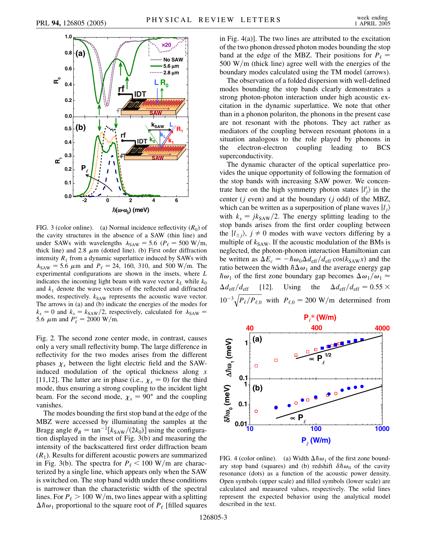

FIG. 3 (color online). (a) Normal incidence reflectivity  $(R_0)$  of the cavity structures in the absence of a SAW (thin line) and under SAWs with wavelengths  $\lambda_{SAW} = 5.6$  ( $P_\ell = 500$  W/m, thick line) and 2.8  $\mu$ m (dotted line). (b) First order diffraction intensity  $R_1$  from a dynamic superlattice induced by SAWs with  $\lambda_{SAW}$  = 5.6  $\mu$ m and  $P_{\ell}$  = 24, 160, 310, and 500 W/m. The experimental configurations are shown in the insets, where *L* indicates the incoming light beam with wave vector  $k<sub>L</sub>$  while  $k<sub>0</sub>$ and  $k_1$  denote the wave vectors of the reflected and diffracted modes, respectively.  $k_{SAW}$  represents the acoustic wave vector. The arrows in (a) and (b) indicate the energies of the modes for  $k_x = 0$  and  $k_x = k_{SAW}/2$ , respectively, calculated for  $\lambda_{SAW} =$ 5.6  $\mu$ m and  $P_{\ell}^* = 2000 \text{ W/m}.$ 

Fig. 2. The second zone center mode, in contrast, causes only a very small reflectivity bump. The large difference in reflectivity for the two modes arises from the different phases  $\chi_x$  between the light electric field and the SAWinduced modulation of the optical thickness along *x* [11,12]. The latter are in phase (i.e.,  $\chi_x = 0$ ) for the third mode, thus ensuring a strong coupling to the incident light beam. For the second mode,  $\chi_x = 90^\circ$  and the coupling vanishes.

The modes bounding the first stop band at the edge of the MBZ were accessed by illuminating the samples at the Bragg angle  $\theta_B = \tan^{-1}[k_{SAW}/(2k_0)]$  using the configuration displayed in the inset of Fig. 3(b) and measuring the intensity of the backscattered first order diffraction beam  $(R<sub>1</sub>)$ . Results for different acoustic powers are summarized in Fig. 3(b). The spectra for  $P_{\ell}$  < 100 W/m are characterized by a single line, which appears only when the SAW is switched on. The stop band width under these conditions is narrower than the characteristic width of the spectral lines. For  $P_\ell > 100 \text{ W/m}$ , two lines appear with a splitting  $\Delta \hbar \omega_1$  proportional to the square root of  $P_\ell$  [filled squares in Fig. 4(a)]. The two lines are attributed to the excitation of the two phonon dressed photon modes bounding the stop band at the edge of the MBZ. Their positions for  $P_\ell$  = 500 W/m (thick line) agree well with the energies of the boundary modes calculated using the TM model (arrows).

The observation of a folded dispersion with well-defined modes bounding the stop bands clearly demonstrates a strong photon-photon interaction under high acoustic excitation in the dynamic superlattice. We note that other than in a phonon polariton, the phonons in the present case are not resonant with the photons. They act rather as mediators of the coupling between resonant photons in a situation analogous to the role played by phonons in the electron-electron coupling leading to BCS superconductivity.

The dynamic character of the optical superlattice provides the unique opportunity of following the formation of the stop bands with increasing SAW power. We concentrate here on the high symmetry photon states  $|l'_j\rangle$  in the center (*j* even) and at the boundary (*j* odd) of the MBZ, which can be written as a superposition of plane waves  $|l_i\rangle$ with  $k_x = jk_{SAW}/2$ . The energy splitting leading to the stop bands arises from the first order coupling between the  $|l_{\pm j}\rangle$ ,  $j \neq 0$  modes with wave vectors differing by a multiple of  $k_{SAW}$ . If the acoustic modulation of the BMs is neglected, the photon-phonon interaction Hamiltonian can be written as  $\Delta E_c = -\hbar \omega_0 \Delta d_{\text{eff}}/d_{\text{eff}} \cos(k_{\text{SAW}} x)$  and the ratio between the width  $h \Delta \omega_1$  and the average energy gap  $\hbar \omega_1$  of the first zone boundary gap becomes  $\Delta \omega_1 / \omega_1 \approx$  $\Delta d_{\text{eff}}/d_{\text{eff}}$  [12]. Using the  $\Delta d_{\text{eff}}/d_{\text{eff}} = 0.55 \times$  $10^{-3} \sqrt{P_{\ell}/P_{\ell,0}}$  $\overline{\phantom{a}}$ with  $P_{\ell,0} = 200 \text{ W/m}$  determined from



FIG. 4 (color online). (a) Width  $\Delta \hbar \omega_1$  of the first zone boundary stop band (squares) and (b) redshift  $\delta h \omega_0$  of the cavity resonance (dots) as a function of the acoustic power density. Open symbols (upper scale) and filled symbols (lower scale) are calculated and measured values, respectively. The solid lines represent the expected behavior using the analytical model described in the text.